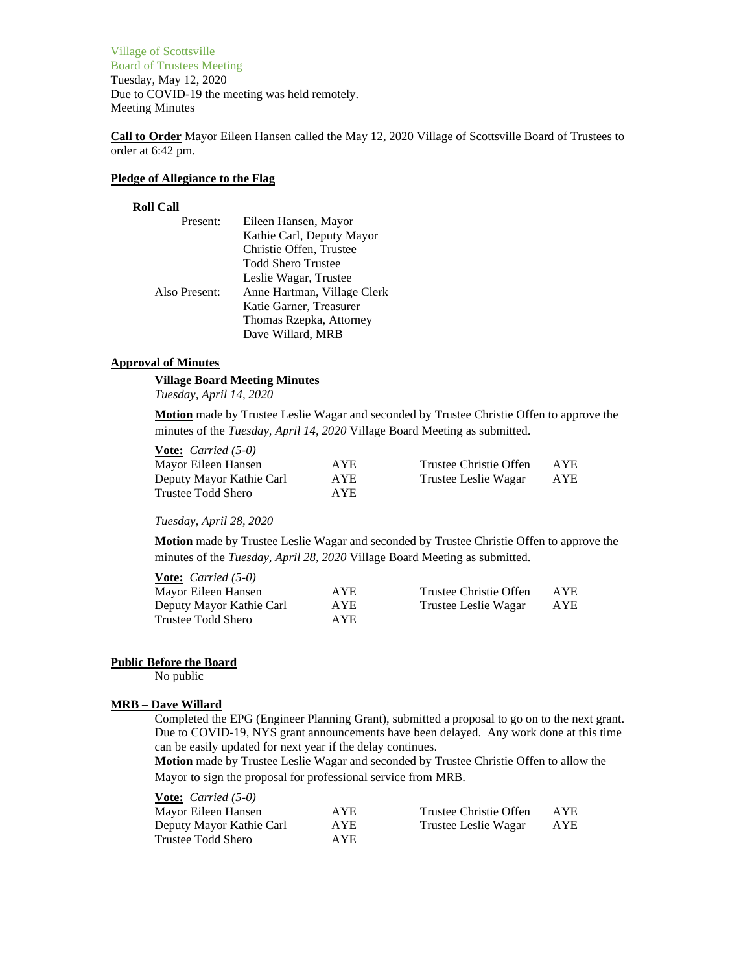Village of Scottsville Board of Trustees Meeting Tuesday, May 12, 2020 Due to COVID-19 the meeting was held remotely. Meeting Minutes

**Call to Order** Mayor Eileen Hansen called the May 12, 2020 Village of Scottsville Board of Trustees to order at 6:42 pm.

## **Pledge of Allegiance to the Flag**

#### **Roll Call**

| Present:      | Eileen Hansen, Mayor        |
|---------------|-----------------------------|
|               | Kathie Carl, Deputy Mayor   |
|               | Christie Offen, Trustee     |
|               | Todd Shero Trustee          |
|               | Leslie Wagar, Trustee       |
| Also Present: | Anne Hartman, Village Clerk |
|               | Katie Garner, Treasurer     |
|               | Thomas Rzepka, Attorney     |
|               | Dave Willard, MRB           |

#### **Approval of Minutes**

## **Village Board Meeting Minutes**

*Tuesday, April 14, 2020*

**Motion** made by Trustee Leslie Wagar and seconded by Trustee Christie Offen to approve the minutes of the *Tuesday, April 14, 2020* Village Board Meeting as submitted.

| <b>Vote:</b> <i>Carried</i> $(5-0)$ |            |                        |      |
|-------------------------------------|------------|------------------------|------|
| Mayor Eileen Hansen                 | AYE.       | Trustee Christie Offen | AYE. |
| Deputy Mayor Kathie Carl            | <b>AYE</b> | Trustee Leslie Wagar   | AYE  |
| Trustee Todd Shero                  | AYE.       |                        |      |

*Tuesday, April 28, 2020*

**Motion** made by Trustee Leslie Wagar and seconded by Trustee Christie Offen to approve the minutes of the *Tuesday, April 28, 2020* Village Board Meeting as submitted.

| <b>Vote:</b> <i>Carried</i> $(5-0)$ |            |                        |      |
|-------------------------------------|------------|------------------------|------|
| Mayor Eileen Hansen                 | AYE.       | Trustee Christie Offen | AYE. |
| Deputy Mayor Kathie Carl            | <b>AYE</b> | Trustee Leslie Wagar   | AYE  |
| Trustee Todd Shero                  | AYE.       |                        |      |

#### **Public Before the Board**

No public

# **MRB – Dave Willard**

Completed the EPG (Engineer Planning Grant), submitted a proposal to go on to the next grant. Due to COVID-19, NYS grant announcements have been delayed. Any work done at this time can be easily updated for next year if the delay continues.

**Motion** made by Trustee Leslie Wagar and seconded by Trustee Christie Offen to allow the Mayor to sign the proposal for professional service from MRB.

| <b>Vote:</b> <i>Carried</i> $(5-0)$ |      |                        |      |
|-------------------------------------|------|------------------------|------|
| Mayor Eileen Hansen                 | AYE. | Trustee Christie Offen | AYE. |
| Deputy Mayor Kathie Carl            | AYE. | Trustee Leslie Wagar   | AYE  |
| Trustee Todd Shero                  | AYE. |                        |      |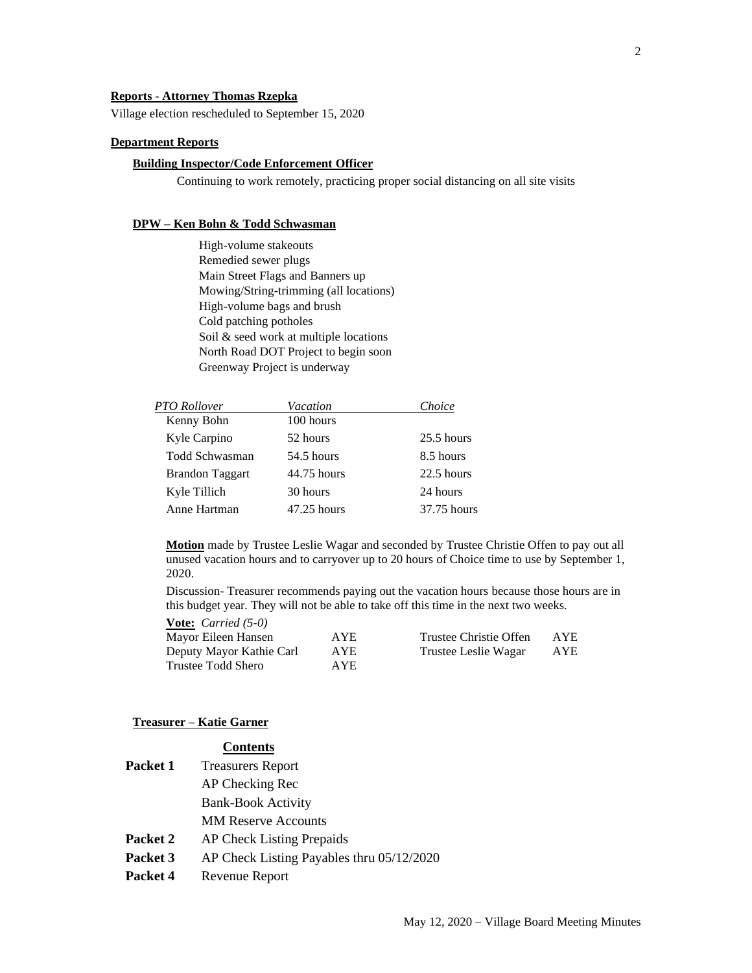## **Reports - Attorney Thomas Rzepka**

Village election rescheduled to September 15, 2020

#### **Department Reports**

## **Building Inspector/Code Enforcement Officer**

Continuing to work remotely, practicing proper social distancing on all site visits

#### **DPW – Ken Bohn & Todd Schwasman**

High-volume stakeouts Remedied sewer plugs Main Street Flags and Banners up Mowing/String-trimming (all locations) High-volume bags and brush Cold patching potholes Soil & seed work at multiple locations North Road DOT Project to begin soon Greenway Project is underway

| <b>PTO Rollover</b>    | Vacation      | Choice       |
|------------------------|---------------|--------------|
| Kenny Bohn             | 100 hours     |              |
| Kyle Carpino           | 52 hours      | $25.5$ hours |
| Todd Schwasman         | 54.5 hours    | 8.5 hours    |
| <b>Brandon Taggart</b> | 44.75 hours   | 22.5 hours   |
| Kyle Tillich           | 30 hours      | 24 hours     |
| Anne Hartman           | $47.25$ hours | 37.75 hours  |

**Motion** made by Trustee Leslie Wagar and seconded by Trustee Christie Offen to pay out all unused vacation hours and to carryover up to 20 hours of Choice time to use by September 1, 2020.

Discussion- Treasurer recommends paying out the vacation hours because those hours are in this budget year. They will not be able to take off this time in the next two weeks.

| <b>Vote:</b> <i>Carried</i> $(5-0)$ |            |                        |            |
|-------------------------------------|------------|------------------------|------------|
| Mayor Eileen Hansen                 | AYE        | Trustee Christie Offen | <b>AYE</b> |
| Deputy Mayor Kathie Carl            | <b>AYE</b> | Trustee Leslie Wagar   | AYE        |
| Trustee Todd Shero                  | AYE.       |                        |            |

# **Treasurer – Katie Garner**

# **Contents**

| Packet 1 | <b>Treasurers Report</b>                  |
|----------|-------------------------------------------|
|          | AP Checking Rec                           |
|          | <b>Bank-Book Activity</b>                 |
|          | <b>MM Reserve Accounts</b>                |
| Packet 2 | <b>AP Check Listing Prepaids</b>          |
| Packet 3 | AP Check Listing Payables thru 05/12/2020 |
| Packet 4 | Revenue Report                            |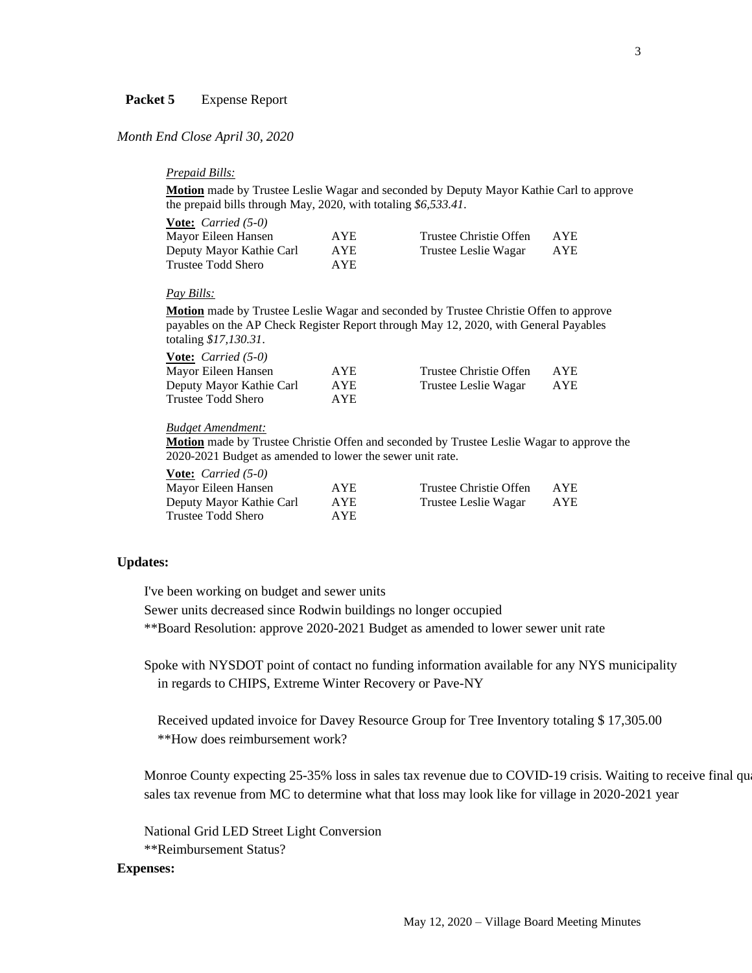# Packet 5 Expense Report

# *Month End Close April 30, 2020*

# *Prepaid Bills:*

**Motion** made by Trustee Leslie Wagar and seconded by Deputy Mayor Kathie Carl to approve the prepaid bills through May, 2020, with totaling *\$6,533.41*.

| <b><u>Vote:</u></b> <i>Carried</i> $(5-0)$ |            |                        |            |
|--------------------------------------------|------------|------------------------|------------|
| Mayor Eileen Hansen                        | <b>AYE</b> | Trustee Christie Offen | AYE        |
| Deputy Mayor Kathie Carl                   | <b>AYE</b> | Trustee Leslie Wagar   | <b>AYE</b> |
| Trustee Todd Shero                         | AYE.       |                        |            |

# *Pay Bills:*

**Motion** made by Trustee Leslie Wagar and seconded by Trustee Christie Offen to approve payables on the AP Check Register Report through May 12, 2020, with General Payables totaling *\$17,130.31*.

| AYE. | Trustee Christie Offen | AYE.       |
|------|------------------------|------------|
| AYE  | Trustee Leslie Wagar   | <b>AYE</b> |
| AYE. |                        |            |
|      |                        |            |

## *Budget Amendment:*

**Motion** made by Trustee Christie Offen and seconded by Trustee Leslie Wagar to approve the 2020-2021 Budget as amended to lower the sewer unit rate.

| <b><u>Vote:</u></b> <i>Carried</i> $(5-0)$ |            |                        |     |
|--------------------------------------------|------------|------------------------|-----|
| Mayor Eileen Hansen                        | AYE.       | Trustee Christie Offen | AYE |
| Deputy Mayor Kathie Carl                   | <b>AYE</b> | Trustee Leslie Wagar   | AYE |
| Trustee Todd Shero                         | <b>AYE</b> |                        |     |

## **Updates:**

I've been working on budget and sewer units

Sewer units decreased since Rodwin buildings no longer occupied

\*\*Board Resolution: approve 2020-2021 Budget as amended to lower sewer unit rate

Spoke with NYSDOT point of contact no funding information available for any NYS municipality in regards to CHIPS, Extreme Winter Recovery or Pave-NY

Received updated invoice for Davey Resource Group for Tree Inventory totaling \$ 17,305.00 \*\*How does reimbursement work?

Monroe County expecting 25-35% loss in sales tax revenue due to COVID-19 crisis. Waiting to receive final qu sales tax revenue from MC to determine what that loss may look like for village in 2020-2021 year

National Grid LED Street Light Conversion \*\*Reimbursement Status?

## **Expenses:**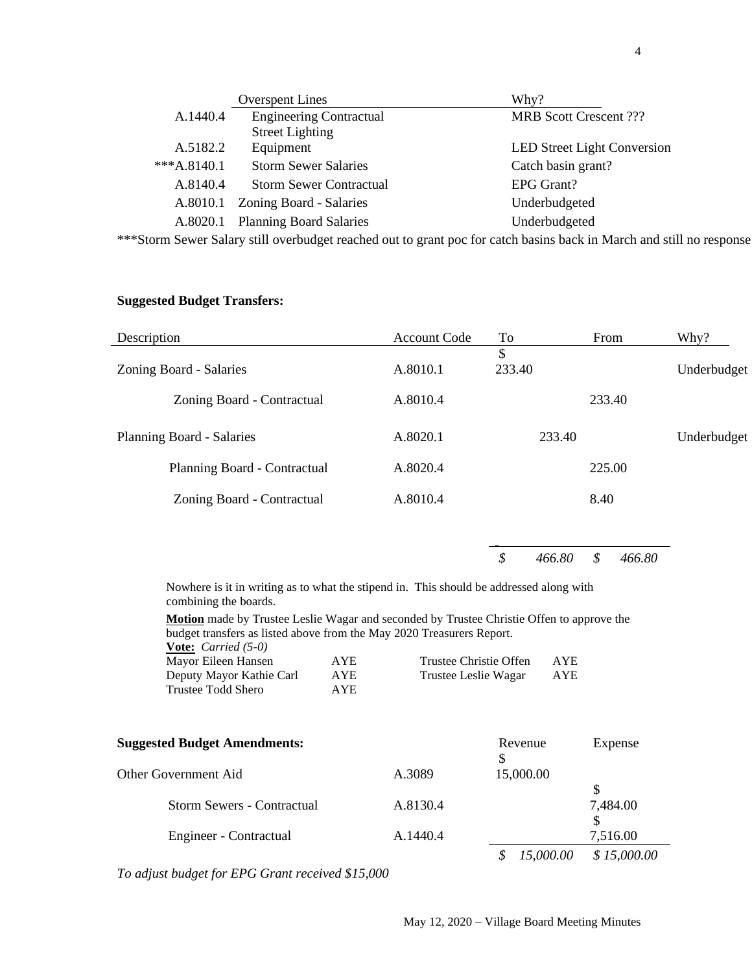|               | <b>Overspent Lines</b>         | Why?                               |
|---------------|--------------------------------|------------------------------------|
| A.1440.4      | <b>Engineering Contractual</b> | <b>MRB Scott Crescent ???</b>      |
|               | <b>Street Lighting</b>         |                                    |
| A.5182.2      | Equipment                      | <b>LED Street Light Conversion</b> |
| $***A.8140.1$ | <b>Storm Sewer Salaries</b>    | Catch basin grant?                 |
| A.8140.4      | <b>Storm Sewer Contractual</b> | <b>EPG Grant?</b>                  |
| A.8010.1      | Zoning Board - Salaries        | Underbudgeted                      |
| A.8020.1      | <b>Planning Board Salaries</b> | Underbudgeted                      |

\*\*\*Storm Sewer Salary still overbudget reached out to grant poc for catch basins back in March and still no response

# **Suggested Budget Transfers:**

| Description                      | <b>Account Code</b> | To           | From   | Why?        |
|----------------------------------|---------------------|--------------|--------|-------------|
| Zoning Board - Salaries          | A.8010.1            | \$<br>233.40 |        | Underbudget |
| Zoning Board - Contractual       | A.8010.4            |              | 233.40 |             |
| <b>Planning Board - Salaries</b> | A.8020.1            | 233.40       |        | Underbudget |
| Planning Board - Contractual     | A.8020.4            |              | 225.00 |             |
| Zoning Board - Contractual       | A.8010.4            |              | 8.40   |             |
|                                  |                     |              |        |             |

*\$ 466.80 \$ 466.80* 

Nowhere is it in writing as to what the stipend in. This should be addressed along with combining the boards.

**Motion** made by Trustee Leslie Wagar and seconded by Trustee Christie Offen to approve the

| budget transfers as listed above from the May 2020 Treasurers Report. |            |                        |            |
|-----------------------------------------------------------------------|------------|------------------------|------------|
| <b>Vote:</b> <i>Carried</i> $(5-0)$                                   |            |                        |            |
| Mayor Eileen Hansen                                                   | AYE.       | Trustee Christie Offen | <b>AYE</b> |
| Deputy Mayor Kathie Carl                                              | <b>AYE</b> | Trustee Leslie Wagar   | AYE        |
| Trustee Todd Shero                                                    | AYE.       |                        |            |

| <b>Suggested Budget Amendments:</b> |          | Revenue<br>S | Expense     |
|-------------------------------------|----------|--------------|-------------|
| Other Government Aid                | A.3089   | 15,000.00    |             |
|                                     |          |              |             |
| Storm Sewers - Contractual          | A.8130.4 |              | 7,484.00    |
|                                     |          |              |             |
| Engineer - Contractual              | A.1440.4 |              | 7,516.00    |
|                                     |          | 15,000.00    | \$15,000.00 |

*To adjust budget for EPG Grant received \$15,000*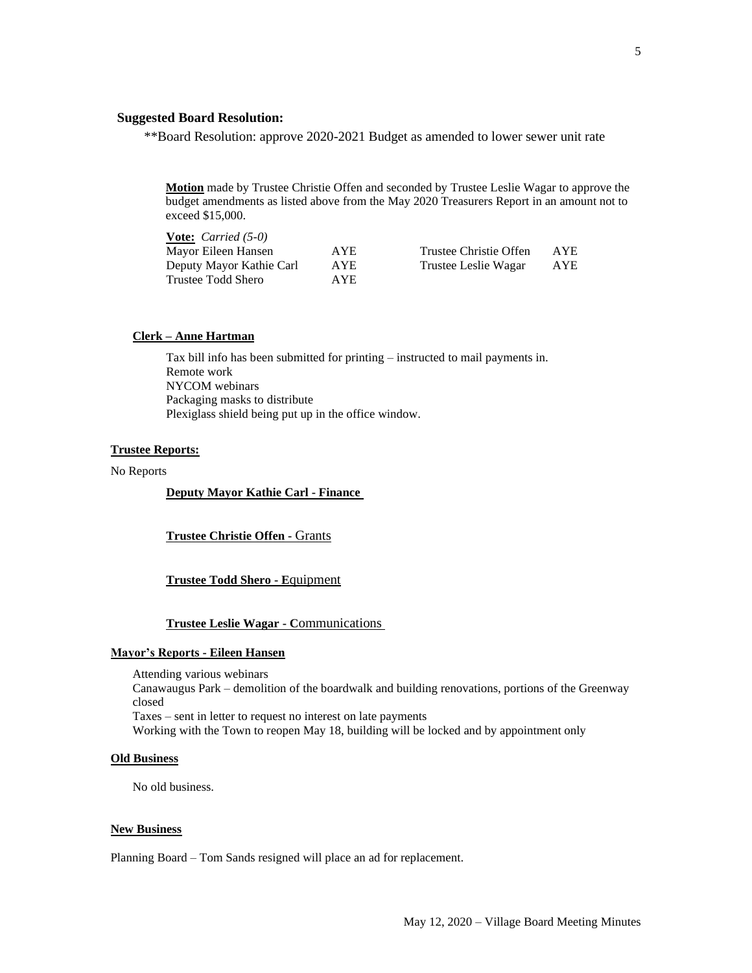# **Suggested Board Resolution:**

\*\*Board Resolution: approve 2020-2021 Budget as amended to lower sewer unit rate

**Motion** made by Trustee Christie Offen and seconded by Trustee Leslie Wagar to approve the budget amendments as listed above from the May 2020 Treasurers Report in an amount not to exceed \$15,000.

| <b><u>Vote:</u></b> <i>Carried</i> $(5-0)$ |            |                        |      |
|--------------------------------------------|------------|------------------------|------|
| Mayor Eileen Hansen                        | AYE.       | Trustee Christie Offen | AYE. |
| Deputy Mayor Kathie Carl                   | <b>AYE</b> | Trustee Leslie Wagar   | AYE  |
| Trustee Todd Shero                         | AYE.       |                        |      |

## **Clerk – Anne Hartman**

Tax bill info has been submitted for printing – instructed to mail payments in. Remote work NYCOM webinars Packaging masks to distribute Plexiglass shield being put up in the office window.

# **Trustee Reports:**

## No Reports

**Deputy Mayor Kathie Carl - Finance**

**Trustee Christie Offen -** Grants

## **Trustee Todd Shero - E**quipment

## **Trustee Leslie Wagar - C**ommunications

#### **Mayor's Reports - Eileen Hansen**

Attending various webinars Canawaugus Park – demolition of the boardwalk and building renovations, portions of the Greenway closed Taxes – sent in letter to request no interest on late payments Working with the Town to reopen May 18, building will be locked and by appointment only

#### **Old Business**

No old business.

#### **New Business**

Planning Board – Tom Sands resigned will place an ad for replacement.